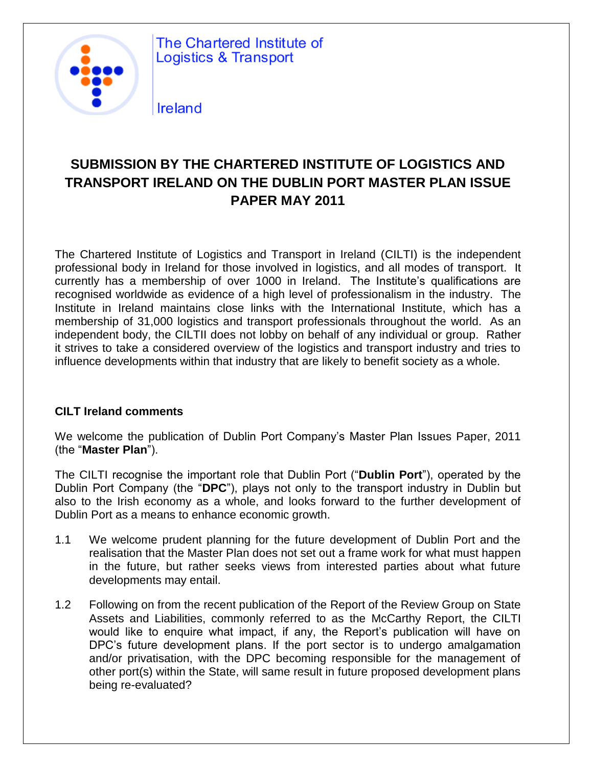

The Chartered Institute of **Logistics & Transport** 

### **Ireland**

### **SUBMISSION BY THE CHARTERED INSTITUTE OF LOGISTICS AND TRANSPORT IRELAND ON THE DUBLIN PORT MASTER PLAN ISSUE PAPER MAY 2011**

The Chartered Institute of Logistics and Transport in Ireland (CILTI) is the independent professional body in Ireland for those involved in logistics, and all modes of transport. It currently has a membership of over 1000 in Ireland. The Institute's qualifications are recognised worldwide as evidence of a high level of professionalism in the industry. The Institute in Ireland maintains close links with the International Institute, which has a membership of 31,000 logistics and transport professionals throughout the world. As an independent body, the CILTII does not lobby on behalf of any individual or group. Rather it strives to take a considered overview of the logistics and transport industry and tries to influence developments within that industry that are likely to benefit society as a whole.

#### **CILT Ireland comments**

We welcome the publication of Dublin Port Company's Master Plan Issues Paper, 2011 (the "**Master Plan**").

The CILTI recognise the important role that Dublin Port ("**Dublin Port**"), operated by the Dublin Port Company (the "**DPC**"), plays not only to the transport industry in Dublin but also to the Irish economy as a whole, and looks forward to the further development of Dublin Port as a means to enhance economic growth.

- 1.1 We welcome prudent planning for the future development of Dublin Port and the realisation that the Master Plan does not set out a frame work for what must happen in the future, but rather seeks views from interested parties about what future developments may entail.
- 1.2 Following on from the recent publication of the Report of the Review Group on State Assets and Liabilities, commonly referred to as the McCarthy Report, the CILTI would like to enquire what impact, if any, the Report's publication will have on DPC's future development plans. If the port sector is to undergo amalgamation and/or privatisation, with the DPC becoming responsible for the management of other port(s) within the State, will same result in future proposed development plans being re-evaluated?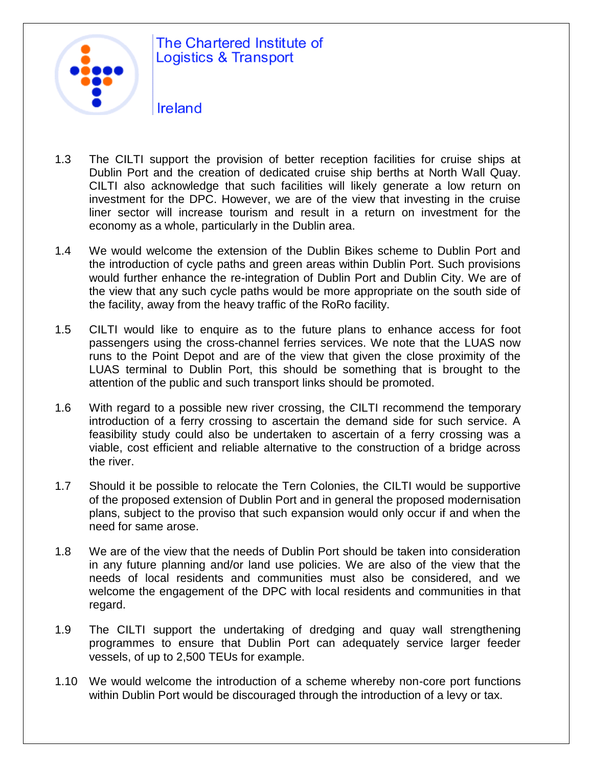

# The Chartered Institute of **Logistics & Transport**

- Ireland
- 1.3 The CILTI support the provision of better reception facilities for cruise ships at Dublin Port and the creation of dedicated cruise ship berths at North Wall Quay. CILTI also acknowledge that such facilities will likely generate a low return on investment for the DPC. However, we are of the view that investing in the cruise liner sector will increase tourism and result in a return on investment for the economy as a whole, particularly in the Dublin area.
- 1.4 We would welcome the extension of the Dublin Bikes scheme to Dublin Port and the introduction of cycle paths and green areas within Dublin Port. Such provisions would further enhance the re-integration of Dublin Port and Dublin City. We are of the view that any such cycle paths would be more appropriate on the south side of the facility, away from the heavy traffic of the RoRo facility.
- 1.5 CILTI would like to enquire as to the future plans to enhance access for foot passengers using the cross-channel ferries services. We note that the LUAS now runs to the Point Depot and are of the view that given the close proximity of the LUAS terminal to Dublin Port, this should be something that is brought to the attention of the public and such transport links should be promoted.
- 1.6 With regard to a possible new river crossing, the CILTI recommend the temporary introduction of a ferry crossing to ascertain the demand side for such service. A feasibility study could also be undertaken to ascertain of a ferry crossing was a viable, cost efficient and reliable alternative to the construction of a bridge across the river.
- 1.7 Should it be possible to relocate the Tern Colonies, the CILTI would be supportive of the proposed extension of Dublin Port and in general the proposed modernisation plans, subject to the proviso that such expansion would only occur if and when the need for same arose.
- 1.8 We are of the view that the needs of Dublin Port should be taken into consideration in any future planning and/or land use policies. We are also of the view that the needs of local residents and communities must also be considered, and we welcome the engagement of the DPC with local residents and communities in that regard.
- 1.9 The CILTI support the undertaking of dredging and quay wall strengthening programmes to ensure that Dublin Port can adequately service larger feeder vessels, of up to 2,500 TEUs for example.
- 1.10 We would welcome the introduction of a scheme whereby non-core port functions within Dublin Port would be discouraged through the introduction of a levy or tax.